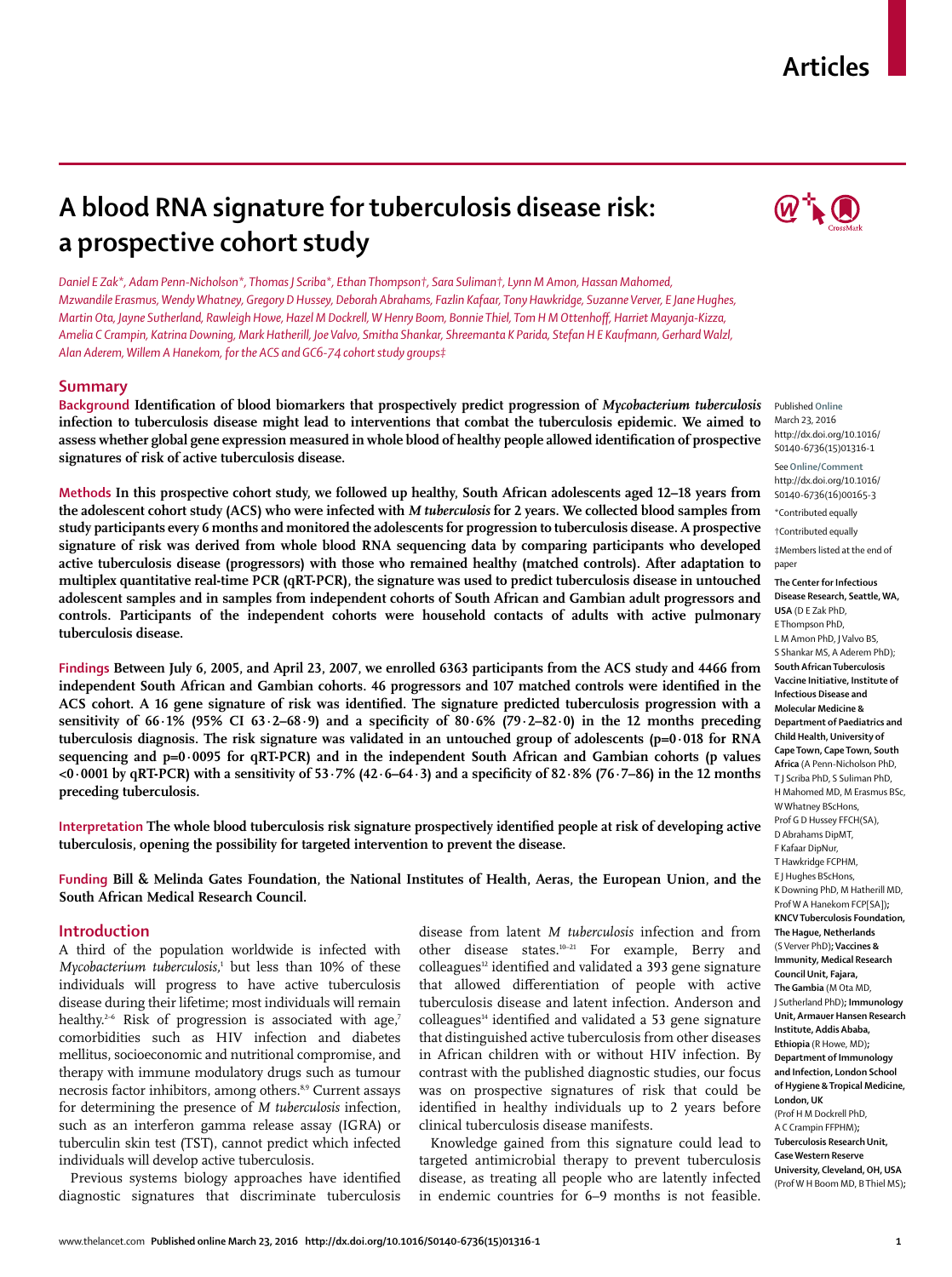# **Articles**

# **A blood RNA signature for tuberculosis disease risk: a prospective cohort study**

*Daniel E Zak\*, Adam Penn-Nicholson\*, Thomas J Scriba\*, Ethan Thompson†, Sara Suliman†, Lynn M Amon, Hassan Mahomed, Mzwandile Erasmus, Wendy Whatney, Gregory D Hussey, Deborah Abrahams, Fazlin Kafaar, Tony Hawkridge, Suzanne Verver, E Jane Hughes, Martin Ota, Jayne Sutherland, Rawleigh Howe, Hazel M Dockrell, W Henry Boom, Bonnie Thiel, Tom H M Ottenhoff , Harriet Mayanja-Kizza, Amelia C Crampin, Katrina Downing, Mark Hatherill, Joe Valvo, Smitha Shankar, Shreemanta K Parida, Stefan H E Kaufmann, Gerhard Walzl, Alan Aderem, Willem A Hanekom, for the ACS and GC6-74 cohort study groups‡*

# **Summary**

**Background Identification of blood biomarkers that prospectively predict progression of** *Mycobacterium tuberculosis* **infection to tuberculosis disease might lead to interventions that combat the tuberculosis epidemic. We aimed to**  assess whether global gene expression measured in whole blood of healthy people allowed identification of prospective **signatures of risk of active tuberculosis disease.** 

**Methods In this prospective cohort study, we followed up healthy, South African adolescents aged 12–18 years from the adolescent cohort study (ACS) who were infected with** *M tuberculosis* **for 2 years. We collected blood samples from study participants every 6 months and monitored the adolescents for progression to tuberculosis disease. A prospective signature of risk was derived from whole blood RNA sequencing data by comparing participants who developed active tuberculosis disease (progressors) with those who remained healthy (matched controls). After adaptation to multiplex quantitative real-time PCR (qRT-PCR), the signature was used to predict tuberculosis disease in untouched adolescent samples and in samples from independent cohorts of South African and Gambian adult progressors and controls. Participants of the independent cohorts were household contacts of adults with active pulmonary tuberculosis disease.** 

**Findings Between July 6, 2005, and April 23, 2007, we enrolled 6363 participants from the ACS study and 4466 from**  independent South African and Gambian cohorts. 46 progressors and 107 matched controls were identified in the ACS cohort. A 16 gene signature of risk was identified. The signature predicted tuberculosis progression with a sensitivity of  $66.1\%$  (95% CI  $63.2-68.9$ ) and a specificity of  $80.6\%$  (79.2–82.0) in the 12 months preceding **tuberculosis diagnosis. The risk signature was validated in an untouched group of adolescents (p=0·018 for RNA sequencing and p=0·0095 for qRT-PCR) and in the independent South African and Gambian cohorts (p values <0·0001 by qRT-PCR) with a sensitivity of 53·7% (42·6–64·3) and a specifi city of 82·8% (76·7–86) in the 12 months preceding tuberculosis.**

**Interpretation The whole blood tuberculosis risk signature prospectively identified people at risk of developing active tuberculosis, opening the possibility for targeted intervention to prevent the disease.**

**Funding Bill & Melinda Gates Foundation, the National Institutes of Health, Aeras, the European Union, and the South African Medical Research Council.**

# **Introduction**

A third of the population worldwide is infected with *Mycobacterium tuberculosis,*<sup>1</sup> but less than 10% of these individuals will progress to have active tuberculosis disease during their lifetime; most individuals will remain healthy.<sup>2-6</sup> Risk of progression is associated with age,<sup>7</sup> comorbidities such as HIV infection and diabetes mellitus, socioeconomic and nutritional compromise, and therapy with immune modulatory drugs such as tumour necrosis factor inhibitors, among others.<sup>8,9</sup> Current assays for determining the presence of *M tuberculosis* infection, such as an interferon gamma release assay (IGRA) or tuberculin skin test (TST), cannot predict which infected individuals will develop active tuberculosis.

Previous systems biology approaches have identified diagnostic signatures that discriminate tuberculosis disease from latent *M tuberculosis* infection and from other disease states.10–21 For example, Berry and colleagues<sup>12</sup> identified and validated a 393 gene signature that allowed differentiation of people with active tuberculosis disease and latent infection. Anderson and  $colle$ egues<sup>14</sup> identified and validated a 53 gene signature that distinguished active tuberculosis from other diseases in African children with or without HIV infection. By contrast with the published diagnostic studies, our focus was on prospective signatures of risk that could be identified in healthy individuals up to 2 years before clinical tuberculosis disease manifests.

Knowledge gained from this signature could lead to targeted antimicrobial therapy to prevent tuberculosis disease, as treating all people who are latently infected in endemic countries for 6–9 months is not feasible.



Published **Online** March 23, 2016 http://dx.doi.org/10.1016/ S0140-6736(15)01316-1

See**Online/Comment** http://dx.doi.org/10.1016/ S0140-6736(16)00165-3

\*Contributed equally

†Contributed equally

‡Members listed at the end of paper **The Center for Infectious** 

**Disease Research, Seattle, WA, USA** (D E Zak PhD, E Thompson PhD, L M Amon PhD, J Valvo BS, S Shankar MS, A Aderem PhD); **South African Tuberculosis Vaccine Initiative, Institute of Infectious Disease and Molecular Medicine & Department of Paediatrics and Child Health, University of Cape Town, Cape Town, South Africa** (A Penn-Nicholson PhD, T J Scriba PhD, S Suliman PhD, H Mahomed MD, M Erasmus BSc, W Whatney BScHons, Prof G D Hussey FFCH(SA), D Abrahams DipMT, F Kafaar DipNur, T Hawkridge FCPHM, E J Hughes BScHons, K Downing PhD, M Hatherill MD, Prof W A Hanekom FCP[SA])**; KNCV Tuberculosis Foundation, The Hague, Netherlands**  (S Verver PhD)**; Vaccines & Immunity, Medical Research Council Unit, Fajara, The Gambia** (M Ota MD, J Sutherland PhD)**; Immunology Unit, Armauer Hansen Research Institute, Addis Ababa, Ethiopia** (R Howe, MD)**; Department of Immunology and Infection, London School of Hygiene & Tropical Medicine, London, UK**  (Prof H M Dockrell PhD, A C Crampin FFPHM)**; Tuberculosis Research Unit, Case Western Reserve University, Cleveland, OH, USA**  (Prof W H Boom MD, B Thiel MS)**;**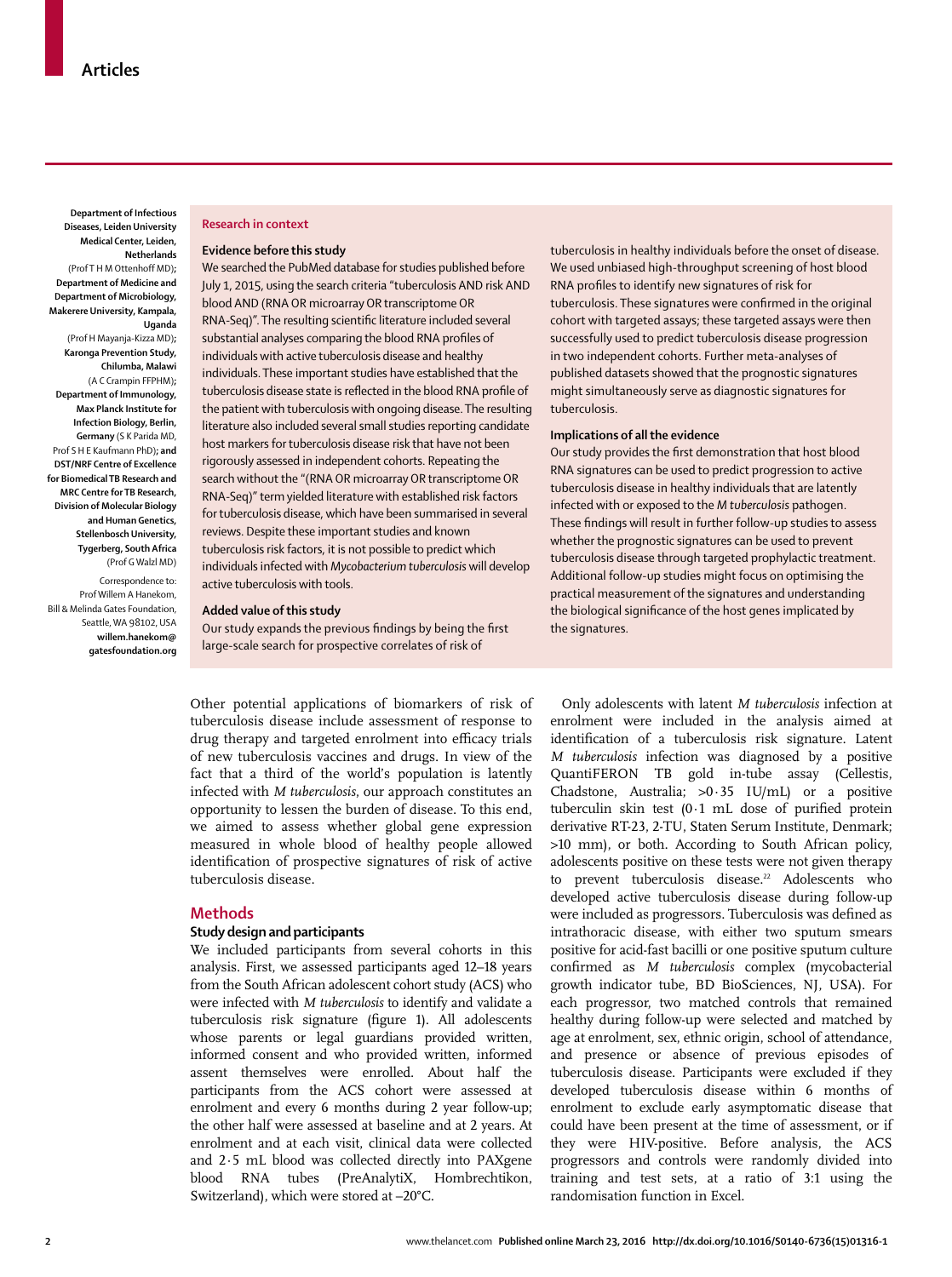**Department of Infectious Diseases, Leiden University Medical Center, Leiden, Netherlands**  (Prof T H M Ottenhoff MD)**; Department of Medicine and Department of Microbiology, Makerere University, Kampala, Uganda**  (Prof H Mayanja-Kizza MD)**; Karonga Prevention Study, Chilumba, Malawi**  (A C Crampin FFPHM)**; Department of Immunology, Max Planck Institute for Infection Biology, Berlin, Germany** (S K Parida MD, Prof S H E Kaufmann PhD)**; and DST/NRF Centre of Excellence for Biomedical TB Research and MRC Centre for TB Research Division of Molecular Biology and Human Genetics, Stellenbosch University, Tygerberg, South Africa**  (Prof G Walzl MD)

Correspondence to: Prof Willem A Hanekom, Bill & Melinda Gates Foundation, Seattle, WA 98102, USA **willem.hanekom@ gatesfoundation.org**

#### **Research in context**

### **Evidence before this study**

We searched the PubMed database for studies published before July 1, 2015, using the search criteria "tuberculosis AND risk AND blood AND (RNA OR microarray OR transcriptome OR RNA-Seq)". The resulting scientific literature included several substantial analyses comparing the blood RNA profiles of individuals with active tuberculosis disease and healthy individuals. These important studies have established that the tuberculosis disease state is reflected in the blood RNA profile of the patient with tuberculosis with ongoing disease. The resulting literature also included several small studies reporting candidate host markers for tuberculosis disease risk that have not been rigorously assessed in independent cohorts. Repeating the search without the "(RNA OR microarray OR transcriptome OR RNA-Seq)" term yielded literature with established risk factors for tuberculosis disease, which have been summarised in several reviews. Despite these important studies and known tuberculosis risk factors, it is not possible to predict which individuals infected with *Mycobacterium tuberculosis* will develop active tuberculosis with tools.

## **Added value of this study**

Our study expands the previous findings by being the first large-scale search for prospective correlates of risk of

Other potential applications of biomarkers of risk of tuberculosis disease include assessment of response to drug therapy and targeted enrolment into efficacy trials of new tuberculosis vaccines and drugs. In view of the fact that a third of the world's population is latently infected with *M tuberculosis*, our approach constitutes an opportunity to lessen the burden of disease. To this end, we aimed to assess whether global gene expression measured in whole blood of healthy people allowed identification of prospective signatures of risk of active tuberculosis disease.

## **Methods**

## **Study design and participants**

We included participants from several cohorts in this analysis. First, we assessed participants aged 12–18 years from the South African adolescent cohort study (ACS) who were infected with *M tuberculosis* to identify and validate a tuberculosis risk signature (figure 1). All adolescents whose parents or legal guardians provided written, informed consent and who provided written, informed assent themselves were enrolled. About half the participants from the ACS cohort were assessed at enrolment and every 6 months during 2 year follow-up; the other half were assessed at baseline and at 2 years. At enrolment and at each visit, clinical data were collected and 2·5 mL blood was collected directly into PAXgene blood RNA tubes (PreAnalytiX, Hombrechtikon, Switzerland), which were stored at –20°C.

tuberculosis in healthy individuals before the onset of disease. We used unbiased high-throughput screening of host blood RNA profiles to identify new signatures of risk for tuberculosis. These signatures were confirmed in the original cohort with targeted assays; these targeted assays were then successfully used to predict tuberculosis disease progression in two independent cohorts. Further meta-analyses of published datasets showed that the prognostic signatures might simultaneously serve as diagnostic signatures for tuberculosis.

# **Implications of all the evidence**

Our study provides the first demonstration that host blood RNA signatures can be used to predict progression to active tuberculosis disease in healthy individuals that are latently infected with or exposed to the *M tuberculosis* pathogen. These findings will result in further follow-up studies to assess whether the prognostic signatures can be used to prevent tuberculosis disease through targeted prophylactic treatment. Additional follow-up studies might focus on optimising the practical measurement of the signatures and understanding the biological significance of the host genes implicated by the signatures.

Only adolescents with latent *M tuberculosis* infection at enrolment were included in the analysis aimed at identification of a tuberculosis risk signature. Latent *M tuberculosis* infection was diagnosed by a positive QuantiFERON TB gold in-tube assay (Cellestis, Chadstone, Australia; >0·35 IU/mL) or a positive tuberculin skin test  $(0.1 \text{ mL}$  dose of purified protein derivative RT-23, 2-TU, Staten Serum Institute, Denmark; >10 mm), or both. According to South African policy, adolescents positive on these tests were not given therapy to prevent tuberculosis disease.<sup>22</sup> Adolescents who developed active tuberculosis disease during follow-up were included as progressors. Tuberculosis was defined as intrathoracic disease, with either two sputum smears positive for acid-fast bacilli or one positive sputum culture confirmed as *M tuberculosis* complex (mycobacterial growth indicator tube, BD BioSciences, NJ, USA). For each progressor, two matched controls that remained healthy during follow-up were selected and matched by age at enrolment, sex, ethnic origin, school of attendance, and presence or absence of previous episodes of tuberculosis disease. Participants were excluded if they developed tuberculosis disease within 6 months of enrolment to exclude early asymptomatic disease that could have been present at the time of assessment, or if they were HIV-positive. Before analysis, the ACS progressors and controls were randomly divided into training and test sets, at a ratio of 3:1 using the randomisation function in Excel.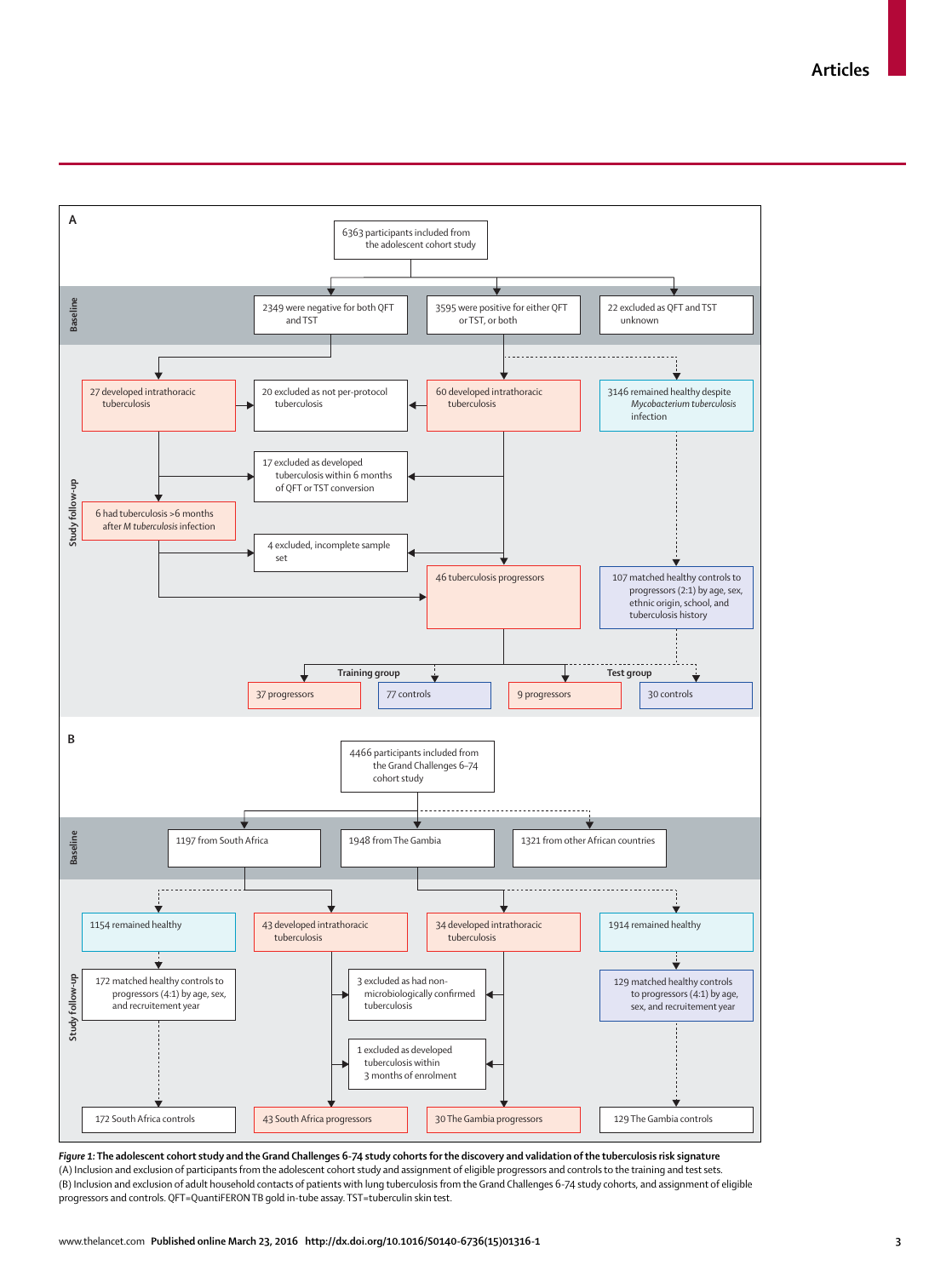**Articles**



*Figure 1:* **The adolescent cohort study and the Grand Challenges 6-74 study cohorts for the discovery and validation of the tuberculosis risk signature** (A) Inclusion and exclusion of participants from the adolescent cohort study and assignment of eligible progressors and controls to the training and test sets. (B) Inclusion and exclusion of adult household contacts of patients with lung tuberculosis from the Grand Challenges 6-74 study cohorts, and assignment of eligible progressors and controls. QFT=QuantiFERON TB gold in-tube assay. TST=tuberculin skin test.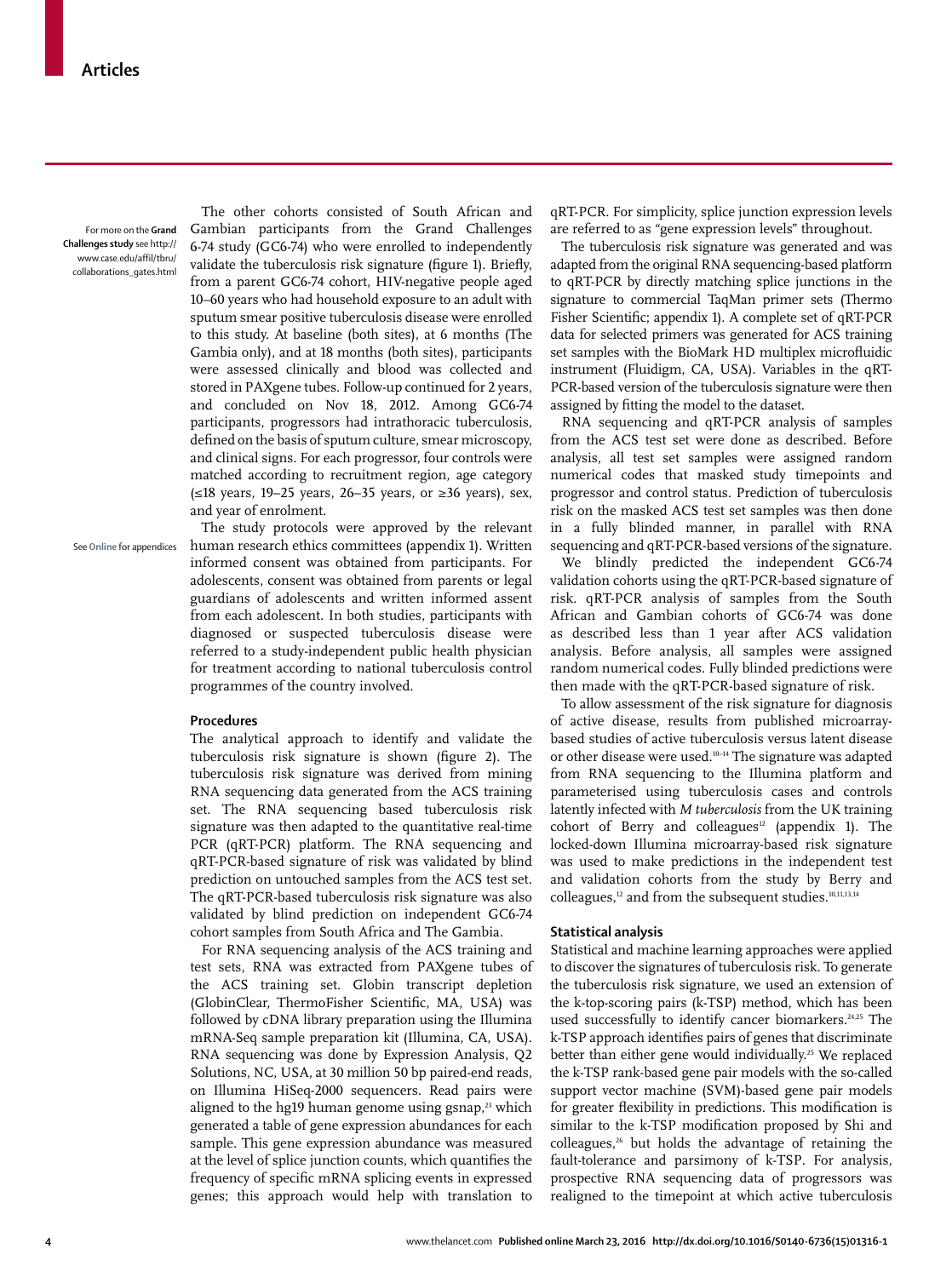For more on the **Grand Challenges study** see http:// www.case.edu/affil/tbru/ collaborations\_gates.html

The other cohorts consisted of South African and Gambian participants from the Grand Challenges 6-74 study (GC6-74) who were enrolled to independently validate the tuberculosis risk signature (figure 1). Briefly, from a parent GC6-74 cohort, HIV-negative people aged 10–60 years who had household exposure to an adult with sputum smear positive tuberculosis disease were enrolled to this study. At baseline (both sites), at 6 months (The Gambia only), and at 18 months (both sites), participants were assessed clinically and blood was collected and stored in PAXgene tubes. Follow-up continued for 2 years, and concluded on Nov 18, 2012. Among GC6-74 participants, progressors had intrathoracic tuberculosis, defined on the basis of sputum culture, smear microscopy, and clinical signs. For each progressor, four controls were matched according to recruitment region, age category (≤18 years, 19–25 years, 26–35 years, or ≥36 years), sex, and year of enrolment.

See **Online** for appendices

The study protocols were approved by the relevant human research ethics committees (appendix 1). Written informed consent was obtained from participants. For adolescents, consent was obtained from parents or legal guardians of adolescents and written informed assent from each adolescent. In both studies, participants with diagnosed or suspected tuberculosis disease were referred to a study-independent public health physician for treatment according to national tuberculosis control programmes of the country involved.

# **Procedures**

The analytical approach to identify and validate the tuberculosis risk signature is shown (figure 2). The tuberculosis risk signature was derived from mining RNA sequencing data generated from the ACS training set. The RNA sequencing based tuberculosis risk signature was then adapted to the quantitative real-time PCR (qRT-PCR) platform. The RNA sequencing and qRT-PCR-based signature of risk was validated by blind prediction on untouched samples from the ACS test set. The qRT-PCR-based tuberculosis risk signature was also validated by blind prediction on independent GC6-74 cohort samples from South Africa and The Gambia.

For RNA sequencing analysis of the ACS training and test sets, RNA was extracted from PAXgene tubes of the ACS training set. Globin transcript depletion (GlobinClear, ThermoFisher Scientific, MA, USA) was followed by cDNA library preparation using the Illumina mRNA-Seq sample preparation kit (Illumina, CA, USA). RNA sequencing was done by Expression Analysis, Q2 Solutions, NC, USA, at 30 million 50 bp paired-end reads, on Illumina HiSeq-2000 sequencers. Read pairs were aligned to the hg19 human genome using gsnap, $23$  which generated a table of gene expression abundances for each sample. This gene expression abundance was measured at the level of splice junction counts, which quantifies the frequency of specific mRNA splicing events in expressed genes; this approach would help with translation to qRT-PCR. For simplicity, splice junction expression levels are referred to as "gene expression levels" throughout.

The tuberculosis risk signature was generated and was adapted from the original RNA sequencing-based platform to qRT-PCR by directly matching splice junctions in the signature to commercial TaqMan primer sets (Thermo Fisher Scientific; appendix 1). A complete set of qRT-PCR data for selected primers was generated for ACS training set samples with the BioMark HD multiplex microfluidic instrument (Fluidigm, CA, USA). Variables in the qRT-PCR-based version of the tuberculosis signature were then assigned by fitting the model to the dataset.

RNA sequencing and qRT-PCR analysis of samples from the ACS test set were done as described. Before analysis, all test set samples were assigned random numerical codes that masked study timepoints and progressor and control status. Prediction of tuberculosis risk on the masked ACS test set samples was then done in a fully blinded manner, in parallel with RNA sequencing and qRT-PCR-based versions of the signature.

We blindly predicted the independent GC6-74 validation cohorts using the qRT-PCR-based signature of risk. qRT-PCR analysis of samples from the South African and Gambian cohorts of GC6-74 was done as described less than 1 year after ACS validation analysis. Before analysis, all samples were assigned random numerical codes. Fully blinded predictions were then made with the qRT-PCR-based signature of risk.

To allow assessment of the risk signature for diagnosis of active disease, results from published microarraybased studies of active tuberculosis versus latent disease or other disease were used.<sup>10-14</sup> The signature was adapted from RNA sequencing to the Illumina platform and parameterised using tuberculosis cases and controls latently infected with *M tuberculosis* from the UK training cohort of Berry and colleagues<sup>12</sup> (appendix 1). The locked-down Illumina microarray-based risk signature was used to make predictions in the independent test and validation cohorts from the study by Berry and colleagues,<sup>12</sup> and from the subsequent studies.<sup>10,11,13,14</sup>

## **Statistical analysis**

Statistical and machine learning approaches were applied to discover the signatures of tuberculosis risk. To generate the tuberculosis risk signature, we used an extension of the k-top-scoring pairs (k-TSP) method, which has been used successfully to identify cancer biomarkers.<sup>24,25</sup> The k-TSP approach identifies pairs of genes that discriminate better than either gene would individually.<sup>25</sup> We replaced the k-TSP rank-based gene pair models with the so-called support vector machine (SVM)-based gene pair models for greater flexibility in predictions. This modification is similar to the k-TSP modification proposed by Shi and colleagues,26 but holds the advantage of retaining the fault-tolerance and parsimony of k-TSP. For analysis, prospective RNA sequencing data of progressors was realigned to the timepoint at which active tuberculosis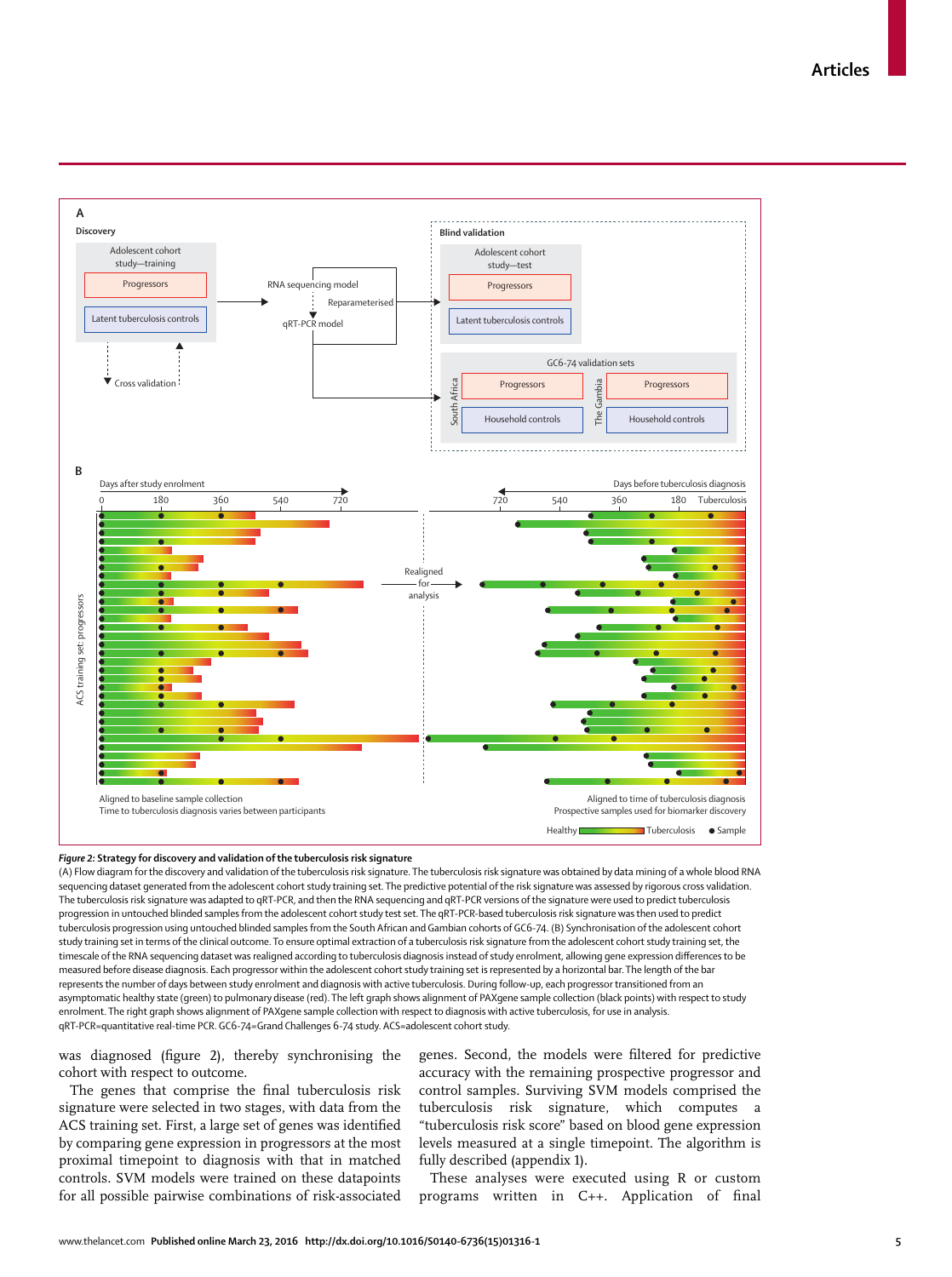**Articles**



#### *Figure 2:* **Strategy for discovery and validation of the tuberculosis risk signature**

(A) Flow diagram for the discovery and validation of the tuberculosis risk signature. The tuberculosis risk signature was obtained by data mining of a whole blood RNA sequencing dataset generated from the adolescent cohort study training set. The predictive potential of the risk signature was assessed by rigorous cross validation. The tuberculosis risk signature was adapted to qRT-PCR, and then the RNA sequencing and qRT-PCR versions of the signature were used to predict tuberculosis progression in untouched blinded samples from the adolescent cohort study test set. The qRT-PCR-based tuberculosis risk signature was then used to predict tuberculosis progression using untouched blinded samples from the South African and Gambian cohorts of GC6-74. (B) Synchronisation of the adolescent cohort study training set in terms of the clinical outcome. To ensure optimal extraction of a tuberculosis risk signature from the adolescent cohort study training set, the timescale of the RNA sequencing dataset was realigned according to tuberculosis diagnosis instead of study enrolment, allowing gene expression differences to be measured before disease diagnosis. Each progressor within the adolescent cohort study training set is represented by a horizontal bar. The length of the bar represents the number of days between study enrolment and diagnosis with active tuberculosis. During follow-up, each progressor transitioned from an asymptomatic healthy state (green) to pulmonary disease (red). The left graph shows alignment of PAXgene sample collection (black points) with respect to study enrolment. The right graph shows alignment of PAXgene sample collection with respect to diagnosis with active tuberculosis, for use in analysis. qRT-PCR=quantitative real-time PCR. GC6-74=Grand Challenges 6-74 study. ACS=adolescent cohort study.

was diagnosed (figure 2), thereby synchronising the cohort with respect to outcome.

The genes that comprise the final tuberculosis risk signature were selected in two stages, with data from the ACS training set. First, a large set of genes was identified by comparing gene expression in progressors at the most proximal timepoint to diagnosis with that in matched controls. SVM models were trained on these datapoints for all possible pairwise combinations of risk-associated genes. Second, the models were filtered for predictive accuracy with the remaining prospective progressor and control samples. Surviving SVM models comprised the tuberculosis risk signature, which computes a "tuberculosis risk score" based on blood gene expression levels measured at a single timepoint. The algorithm is fully described (appendix 1).

These analyses were executed using R or custom programs written in  $C_{++}$ . Application of final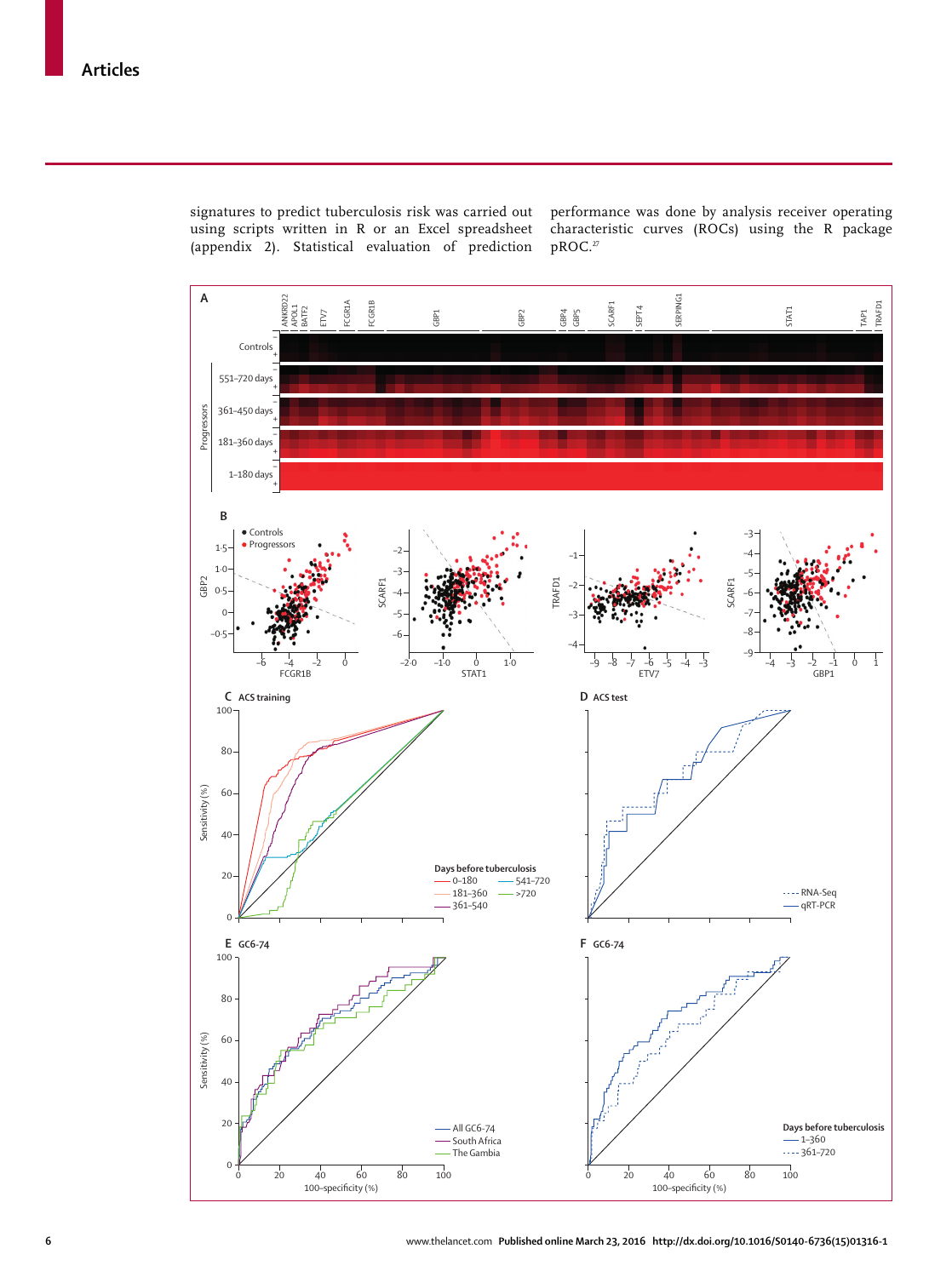using scripts written in R or an Excel spreadsheet (appendix 2). Statistical evaluation of prediction

signatures to predict tuberculosis risk was carried out performance was done by analysis receiver operating characteristic curves (ROCs) using the R package pROC.27

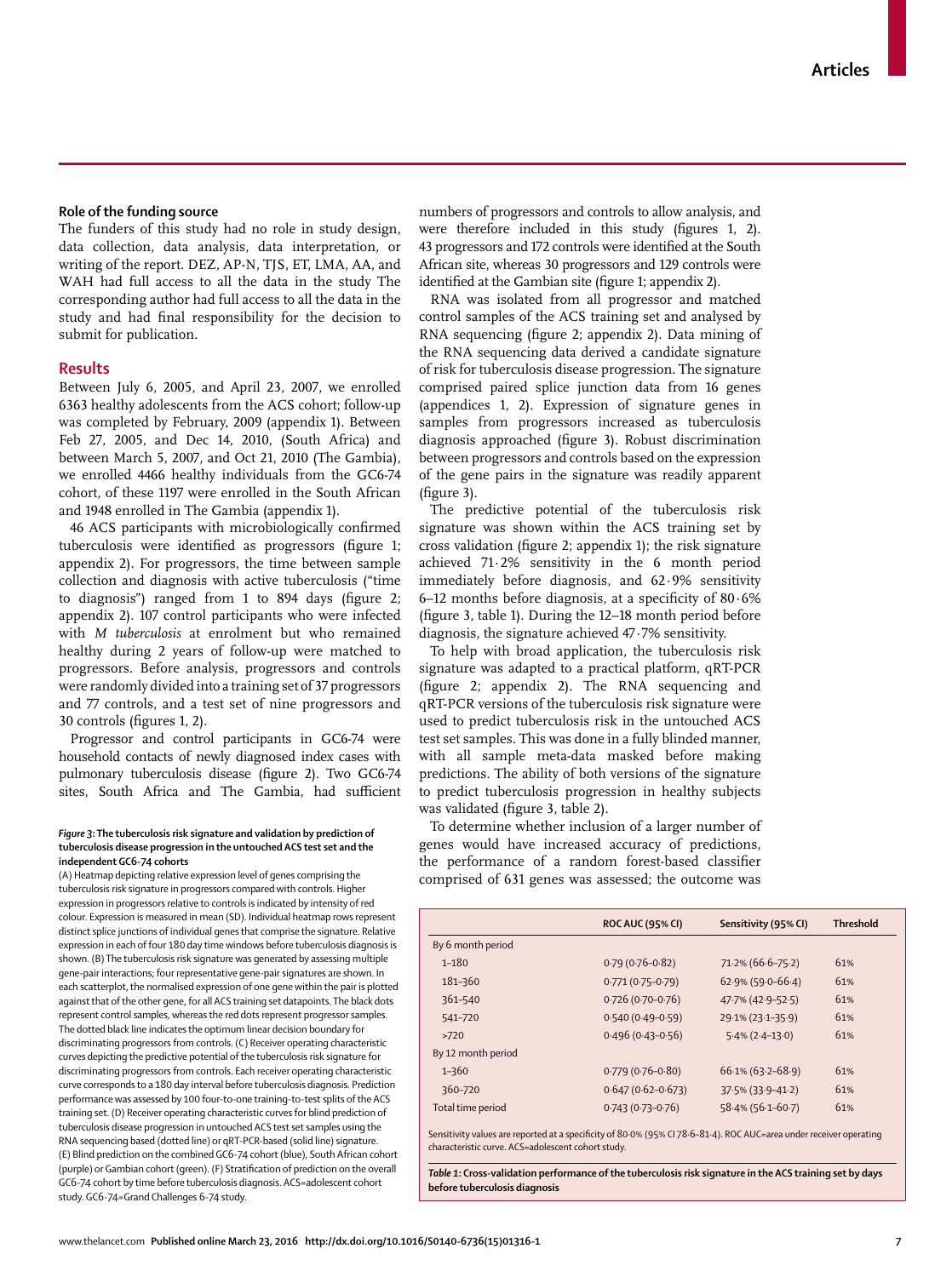### **Role of the funding source**

The funders of this study had no role in study design, data collection, data analysis, data interpretation, or writing of the report. DEZ, AP-N, TJS, ET, LMA, AA, and WAH had full access to all the data in the study The corresponding author had full access to all the data in the study and had final responsibility for the decision to submit for publication.

# **Results**

Between July 6, 2005, and April 23, 2007, we enrolled 6363 healthy adolescents from the ACS cohort; follow-up was completed by February, 2009 (appendix 1). Between Feb 27, 2005, and Dec 14, 2010, (South Africa) and between March 5, 2007, and Oct 21, 2010 (The Gambia), we enrolled 4466 healthy individuals from the GC6-74 cohort, of these 1197 were enrolled in the South African and 1948 enrolled in The Gambia (appendix 1).

46 ACS participants with microbiologically confirmed tuberculosis were identified as progressors (figure 1; appendix 2). For progressors, the time between sample collection and diagnosis with active tuberculosis ("time to diagnosis") ranged from  $1$  to  $894$  days (figure 2; appendix 2). 107 control participants who were infected with *M tuberculosis* at enrolment but who remained healthy during 2 years of follow-up were matched to progressors. Before analysis, progressors and controls were randomly divided into a training set of 37 progressors and 77 controls, and a test set of nine progressors and 30 controls (figures 1, 2).

Progressor and control participants in GC6-74 were household contacts of newly diagnosed index cases with pulmonary tuberculosis disease (figure 2). Two GC6-74 sites, South Africa and The Gambia, had sufficient

#### *Figure 3***: The tuberculosis risk signature and validation by prediction of tuberculosis disease progression in the untouched ACS test set and the independent GC6-74 cohorts**

(A) Heatmap depicting relative expression level of genes comprising the tuberculosis risk signature in progressors compared with controls. Higher expression in progressors relative to controls is indicated by intensity of red colour. Expression is measured in mean (SD). Individual heatmap rows represent distinct splice junctions of individual genes that comprise the signature. Relative expression in each of four 180 day time windows before tuberculosis diagnosis is shown. (B) The tuberculosis risk signature was generated by assessing multiple gene-pair interactions; four representative gene-pair signatures are shown. In each scatterplot, the normalised expression of one gene within the pair is plotted against that of the other gene, for all ACS training set datapoints. The black dots represent control samples, whereas the red dots represent progressor samples. The dotted black line indicates the optimum linear decision boundary for discriminating progressors from controls. (C) Receiver operating characteristic curves depicting the predictive potential of the tuberculosis risk signature for discriminating progressors from controls. Each receiver operating characteristic curve corresponds to a 180 day interval before tuberculosis diagnosis. Prediction performance was assessed by 100 four-to-one training-to-test splits of the ACS training set. (D) Receiver operating characteristic curves for blind prediction of tuberculosis disease progression in untouched ACS test set samples using the RNA sequencing based (dotted line) or qRT-PCR-based (solid line) signature. (E) Blind prediction on the combined GC6-74 cohort (blue), South African cohort (purple) or Gambian cohort (green). (F) Stratification of prediction on the overall GC6-74 cohort by time before tuberculosis diagnosis. ACS=adolescent cohort study. GC6-74=Grand Challenges 6-74 study.

numbers of progressors and controls to allow analysis, and were therefore included in this study (figures 1, 2). 43 progressors and 172 controls were identified at the South African site, whereas 30 progressors and 129 controls were identified at the Gambian site (figure 1; appendix 2).

RNA was isolated from all progressor and matched control samples of the ACS training set and analysed by RNA sequencing (figure 2; appendix 2). Data mining of the RNA sequencing data derived a candidate signature of risk for tuberculosis disease progression. The signature comprised paired splice junction data from 16 genes (appendices 1, 2). Expression of signature genes in samples from progressors increased as tuberculosis diagnosis approached (figure 3). Robust discrimination between progressors and controls based on the expression of the gene pairs in the signature was readily apparent  $(figure 3)$ .

The predictive potential of the tuberculosis risk signature was shown within the ACS training set by cross validation (figure 2; appendix 1); the risk signature achieved 71·2% sensitivity in the 6 month period immediately before diagnosis, and 62·9% sensitivity 6–12 months before diagnosis, at a specificity of  $80.6\%$ (figure 3, table 1). During the 12-18 month period before diagnosis, the signature achieved 47·7% sensitivity.

To help with broad application, the tuberculosis risk signature was adapted to a practical platform, qRT-PCR (figure 2; appendix 2). The RNA sequencing and qRT-PCR versions of the tuberculosis risk signature were used to predict tuberculosis risk in the untouched ACS test set samples. This was done in a fully blinded manner, with all sample meta-data masked before making predictions. The ability of both versions of the signature to predict tuberculosis progression in healthy subjects was validated (figure 3, table 2).

To determine whether inclusion of a larger number of genes would have increased accuracy of predictions, the performance of a random forest-based classifier comprised of 631 genes was assessed; the outcome was

|                    | <b>ROC AUC (95% CI)</b> | Sensitivity (95% CI) | <b>Threshold</b> |  |
|--------------------|-------------------------|----------------------|------------------|--|
| By 6 month period  |                         |                      |                  |  |
| $1 - 180$          | $0.79(0.76 - 0.82)$     | $71.2\%$ (66.6–75.2) | 61%              |  |
| 181-360            | $0.771(0.75 - 0.79)$    | $62.9\%$ (59.0-66.4) | 61%              |  |
| 361-540            | $0.726(0.70 - 0.76)$    | 47.7% (42.9-52.5)    | 61%              |  |
| 541-720            | $0.540(0.49 - 0.59)$    | 29.1% (23.1-35.9)    | 61%              |  |
| >720               | $0.496(0.43 - 0.56)$    | $5.4\%$ (2.4-13.0)   | 61%              |  |
| By 12 month period |                         |                      |                  |  |
| $1 - 360$          | $0.779(0.76 - 0.80)$    | $66.1\%$ (63.2–68.9) | 61%              |  |
| 360-720            | $0.647(0.62 - 0.673)$   | 37.5% (33.9-41.2)    | 61%              |  |
| Total time period  | $0.743(0.73 - 0.76)$    | 58.4% (56.1-60.7)    | 61%              |  |

Sensitivity values are reported at a specificity of 80.0% (95% CJ 78.6–81.4). ROC AUC=area under receiver operating characteristic curve. ACS=adolescent cohort study.

*Table 1***: Cross-validation performance of the tuberculosis risk signature in the ACS training set by days before tuberculosis diagnosis**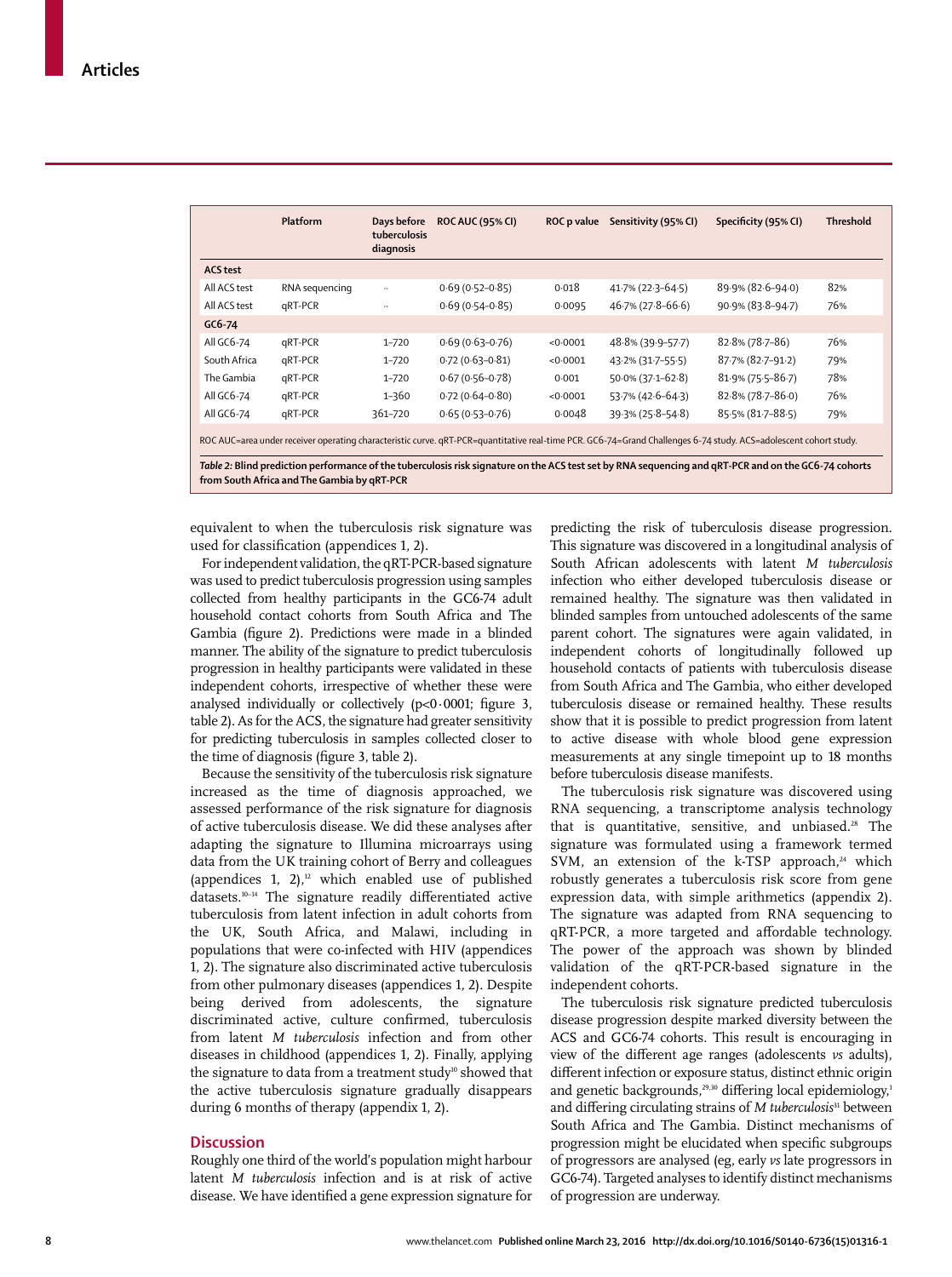|                                                                                                                                                                  | Platform       | Days before<br>tuberculosis<br>diagnosis | <b>ROC AUC (95% CI)</b> | ROC p value | Sensitivity (95% CI) | Specificity (95% CI)   | <b>Threshold</b> |  |
|------------------------------------------------------------------------------------------------------------------------------------------------------------------|----------------|------------------------------------------|-------------------------|-------------|----------------------|------------------------|------------------|--|
| <b>ACS test</b>                                                                                                                                                  |                |                                          |                         |             |                      |                        |                  |  |
| All ACS test                                                                                                                                                     | RNA sequencing | $\ldots$                                 | $0.69(0.52 - 0.85)$     | 0.018       | $41.7\%$ (22.3-64.5) | 89.9% (82.6–94.0)      | 82%              |  |
| All ACS test                                                                                                                                                     | qRT-PCR        | $\ldots$                                 | $0.69(0.54 - 0.85)$     | 0.0095      | 46.7% (27.8-66.6)    | $90.9\% (83.8 - 94.7)$ | 76%              |  |
| $GC6-74$                                                                                                                                                         |                |                                          |                         |             |                      |                        |                  |  |
| All GC6-74                                                                                                                                                       | qRT-PCR        | $1 - 720$                                | $0.69(0.63 - 0.76)$     | < 0.0001    | 48.8% (39.9-57.7)    | 82.8% (78.7-86)        | 76%              |  |
| South Africa                                                                                                                                                     | qRT-PCR        | $1 - 720$                                | $0.72(0.63 - 0.81)$     | < 0.0001    | 43.2% (31.7-55.5)    | 87.7% (82.7-91.2)      | 79%              |  |
| The Gambia                                                                                                                                                       | qRT-PCR        | $1 - 720$                                | $0.67(0.56 - 0.78)$     | 0.001       | $50.0\%$ (37.1-62.8) | $81.9\%$ (75.5-86.7)   | 78%              |  |
| All GC6-74                                                                                                                                                       | qRT-PCR        | $1 - 360$                                | $0.72(0.64 - 0.80)$     | < 0.0001    | $53.7\%$ (42.6-64.3) | $82.8\%$ (78.7-86.0)   | 76%              |  |
| All GC6-74                                                                                                                                                       | qRT-PCR        | 361-720                                  | $0.65(0.53 - 0.76)$     | 0.0048      | $39.3\%$ (25.8-54.8) | $85.5\%$ (81.7-88.5)   | 79%              |  |
| ROC AUC=area under receiver operating characteristic curve. gRT-PCR=quantitative real-time PCR. GC6-74=Grand Challenges 6-74 study. ACS=adolescent cohort study. |                |                                          |                         |             |                      |                        |                  |  |

*Table 2:* **Blind prediction performance of the tuberculosis risk signature on the ACS test set by RNA sequencing and qRT-PCR and on the GC6-74 cohorts from South Africa and The Gambia by qRT-PCR**

equivalent to when the tuberculosis risk signature was used for classification (appendices 1, 2).

For independent validation, the qRT-PCR-based signature was used to predict tuberculosis progression using samples collected from healthy participants in the GC6-74 adult household contact cohorts from South Africa and The Gambia (figure 2). Predictions were made in a blinded manner. The ability of the signature to predict tuberculosis progression in healthy participants were validated in these independent cohorts, irrespective of whether these were analysed individually or collectively ( $p<0.0001$ ; figure 3, table 2). As for the ACS, the signature had greater sensitivity for predicting tuberculosis in samples collected closer to the time of diagnosis (figure 3, table 2).

Because the sensitivity of the tuberculosis risk signature increased as the time of diagnosis approached, we assessed performance of the risk signature for diagnosis of active tuberculosis disease. We did these analyses after adapting the signature to Illumina microarrays using data from the UK training cohort of Berry and colleagues (appendices 1, 2), $12$  which enabled use of published datasets.<sup>10-14</sup> The signature readily differentiated active tuberculosis from latent infection in adult cohorts from the UK, South Africa, and Malawi, including in populations that were co-infected with HIV (appendices 1, 2). The signature also discriminated active tuberculosis from other pulmonary diseases (appendices 1, 2). Despite being derived from adolescents, the signature discriminated active, culture confirmed, tuberculosis from latent *M tuberculosis* infection and from other diseases in childhood (appendices 1, 2). Finally, applying the signature to data from a treatment study<sup>10</sup> showed that the active tuberculosis signature gradually disappears during 6 months of therapy (appendix 1, 2).

## **Discussion**

Roughly one third of the world's population might harbour latent *M tuberculosis* infection and is at risk of active disease. We have identified a gene expression signature for predicting the risk of tuberculosis disease progression. This signature was discovered in a longitudinal analysis of South African adolescents with latent *M tuberculosis* infection who either developed tuberculosis disease or remained healthy. The signature was then validated in blinded samples from untouched adolescents of the same parent cohort. The signatures were again validated, in independent cohorts of longitudinally followed up household contacts of patients with tuberculosis disease from South Africa and The Gambia, who either developed tuberculosis disease or remained healthy. These results show that it is possible to predict progression from latent to active disease with whole blood gene expression measurements at any single timepoint up to 18 months before tuberculosis disease manifests.

The tuberculosis risk signature was discovered using RNA sequencing, a transcriptome analysis technology that is quantitative, sensitive, and unbiased.<sup>28</sup> The signature was formulated using a framework termed SVM, an extension of the k-TSP approach, $24$  which robustly generates a tuberculosis risk score from gene expression data, with simple arithmetics (appendix 2). The signature was adapted from RNA sequencing to qRT-PCR, a more targeted and affordable technology. The power of the approach was shown by blinded validation of the qRT-PCR-based signature in the independent cohorts.

The tuberculosis risk signature predicted tuberculosis disease progression despite marked diversity between the ACS and GC6-74 cohorts. This result is encouraging in view of the different age ranges (adolescents *vs* adults), different infection or exposure status, distinct ethnic origin and genetic backgrounds,<sup>29,30</sup> differing local epidemiology,<sup>1</sup> and differing circulating strains of *M tuberculosis*<sup>31</sup> between South Africa and The Gambia. Distinct mechanisms of progression might be elucidated when specific subgroups of progressors are analysed (eg, early *vs* late progressors in GC6-74). Targeted analyses to identify distinct mechanisms of progression are underway.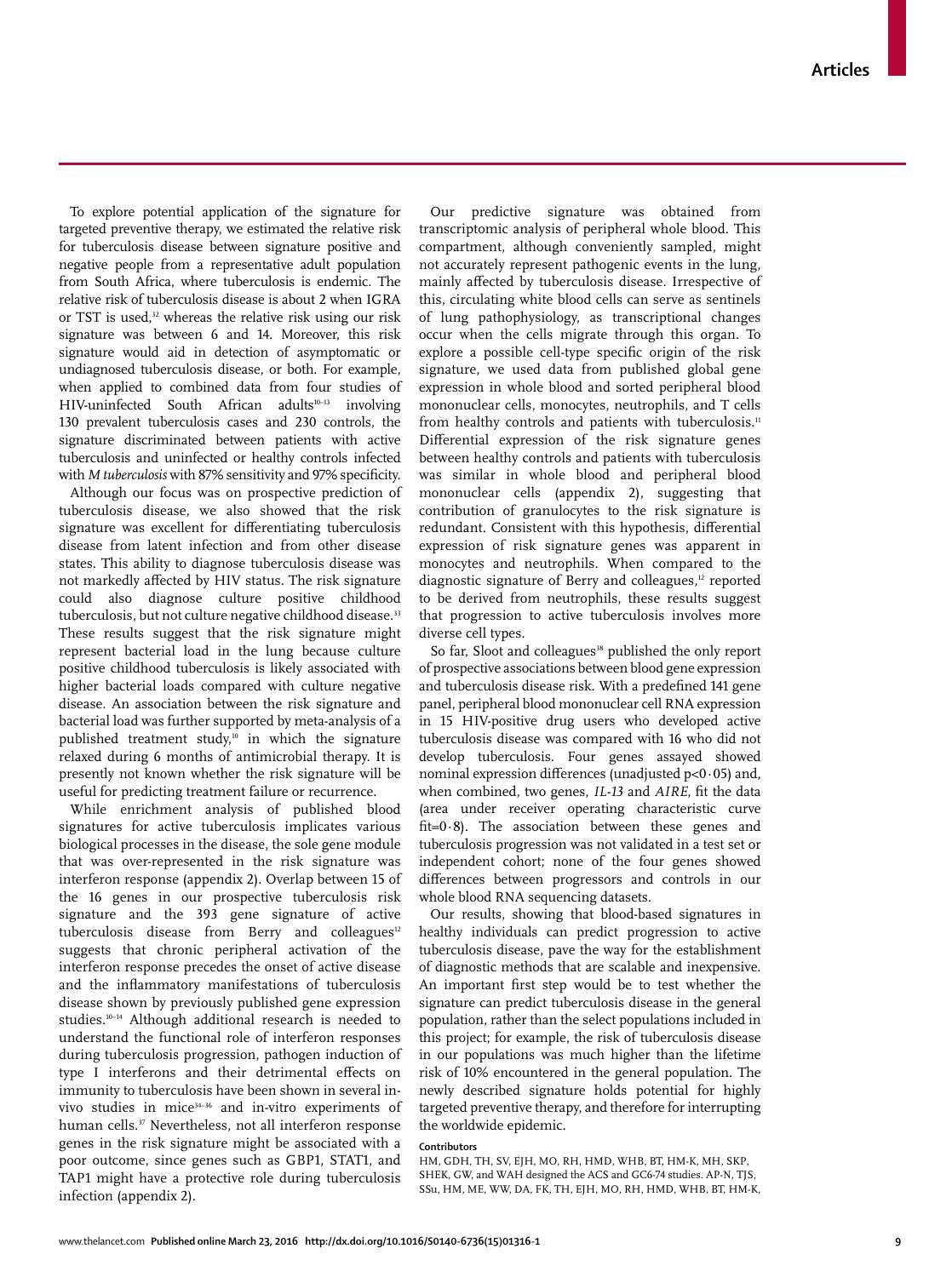To explore potential application of the signature for targeted preventive therapy, we estimated the relative risk for tuberculosis disease between signature positive and negative people from a representative adult population from South Africa, where tuberculosis is endemic. The relative risk of tuberculosis disease is about 2 when IGRA or TST is used,<sup>32</sup> whereas the relative risk using our risk signature was between 6 and 14. Moreover, this risk signature would aid in detection of asymptomatic or undiagnosed tuberculosis disease, or both. For example, when applied to combined data from four studies of HIV-uninfected South African adults<sup>10-13</sup> involving 130 prevalent tuberculosis cases and 230 controls, the signature discriminated between patients with active tuberculosis and uninfected or healthy controls infected with *M tuberculosis* with 87% sensitivity and 97% specificity.

Although our focus was on prospective prediction of tuberculosis disease, we also showed that the risk signature was excellent for differentiating tuberculosis disease from latent infection and from other disease states. This ability to diagnose tuberculosis disease was not markedly affected by HIV status. The risk signature could also diagnose culture positive childhood tuberculosis, but not culture negative childhood disease.<sup>33</sup> These results suggest that the risk signature might represent bacterial load in the lung because culture positive childhood tuberculosis is likely associated with higher bacterial loads compared with culture negative disease. An association between the risk signature and bacterial load was further supported by meta-analysis of a published treatment study,<sup>10</sup> in which the signature relaxed during 6 months of antimicrobial therapy. It is presently not known whether the risk signature will be useful for predicting treatment failure or recurrence.

While enrichment analysis of published blood signatures for active tuberculosis implicates various biological processes in the disease, the sole gene module that was over-represented in the risk signature was interferon response (appendix 2). Overlap between 15 of the 16 genes in our prospective tuberculosis risk signature and the 393 gene signature of active tuberculosis disease from Berry and colleagues<sup>12</sup> suggests that chronic peripheral activation of the interferon response precedes the onset of active disease and the inflammatory manifestations of tuberculosis disease shown by previously published gene expression studies.<sup>10–14</sup> Although additional research is needed to understand the functional role of interferon responses during tuberculosis progression, pathogen induction of type I interferons and their detrimental effects on immunity to tuberculosis have been shown in several invivo studies in mice<sup>34-36</sup> and in-vitro experiments of human cells.<sup>37</sup> Nevertheless, not all interferon response genes in the risk signature might be associated with a poor outcome, since genes such as GBP1, STAT1, and TAP1 might have a protective role during tuberculosis infection (appendix 2).

Our predictive signature was obtained from transcriptomic analysis of peripheral whole blood. This compartment, although conveniently sampled, might not accurately represent pathogenic events in the lung, mainly affected by tuberculosis disease. Irrespective of this, circulating white blood cells can serve as sentinels of lung pathophysiology, as transcriptional changes occur when the cells migrate through this organ. To explore a possible cell-type specific origin of the risk signature, we used data from published global gene expression in whole blood and sorted peripheral blood mononuclear cells, monocytes, neutrophils, and T cells from healthy controls and patients with tuberculosis.<sup>11</sup> Differential expression of the risk signature genes between healthy controls and patients with tuberculosis was similar in whole blood and peripheral blood mononuclear cells (appendix 2), suggesting that contribution of granulocytes to the risk signature is redundant. Consistent with this hypothesis, differential expression of risk signature genes was apparent in monocytes and neutrophils. When compared to the diagnostic signature of Berry and colleagues*,* 12 reported to be derived from neutrophils, these results suggest that progression to active tuberculosis involves more diverse cell types.

So far, Sloot and colleagues<sup>38</sup> published the only report of prospective associations between blood gene expression and tuberculosis disease risk. With a predefined 141 gene panel, peripheral blood mononuclear cell RNA expression in 15 HIV-positive drug users who developed active tuberculosis disease was compared with 16 who did not develop tuberculosis. Four genes assayed showed nominal expression differences (unadjusted  $p<0.05$ ) and, when combined, two genes, *IL-13* and *AIRE*, fit the data (area under receiver operating characteristic curve fit= $0.8$ ). The association between these genes and tuberculosis progression was not validated in a test set or independent cohort; none of the four genes showed differences between progressors and controls in our whole blood RNA sequencing datasets.

Our results, showing that blood-based signatures in healthy individuals can predict progression to active tuberculosis disease, pave the way for the establishment of diagnostic methods that are scalable and inexpensive. An important first step would be to test whether the signature can predict tuberculosis disease in the general population, rather than the select populations included in this project; for example, the risk of tuberculosis disease in our populations was much higher than the lifetime risk of 10% encountered in the general population. The newly described signature holds potential for highly targeted preventive therapy, and therefore for interrupting the worldwide epidemic.

#### **Contributors**

HM, GDH, TH, SV, EJH, MO, RH, HMD, WHB, BT, HM-K, MH, SKP, SHEK, GW, and WAH designed the ACS and GC6-74 studies. AP-N, TJS, SSu, HM, ME, WW, DA, FK, TH, EJH, MO, RH, HMD, WHB, BT, HM-K,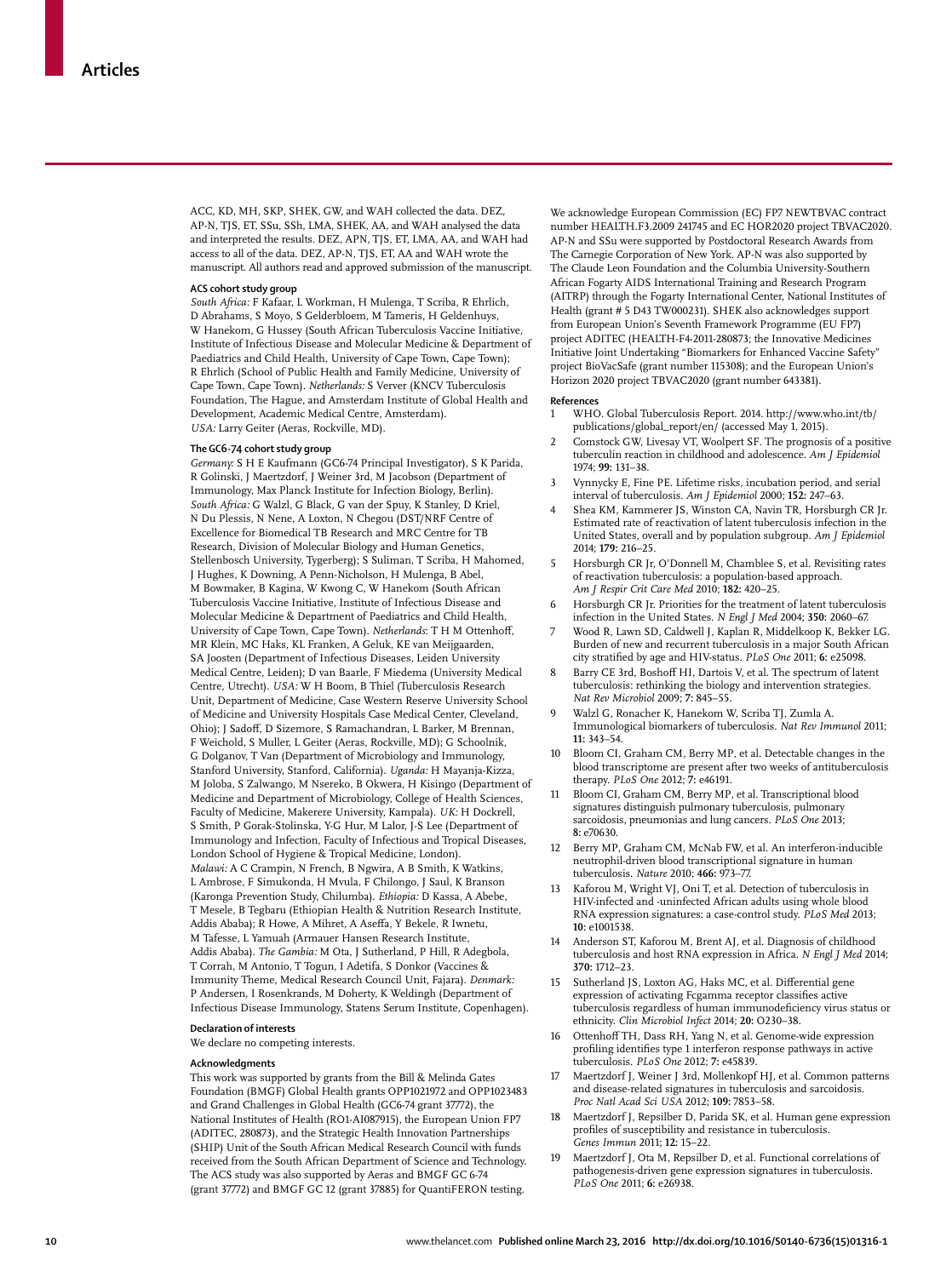ACC, KD, MH, SKP, SHEK, GW, and WAH collected the data. DEZ, AP-N, TJS, ET, SSu, SSh, LMA, SHEK, AA, and WAH analysed the data and interpreted the results. DEZ, APN, TJS, ET, LMA, AA, and WAH had access to all of the data. DEZ, AP-N, TJS, ET, AA and WAH wrote the manuscript. All authors read and approved submission of the manuscript.

#### **ACS cohort study group**

*South Africa:* F Kafaar, L Workman, H Mulenga, T Scriba, R Ehrlich, D Abrahams, S Moyo, S Gelderbloem, M Tameris, H Geldenhuys, W Hanekom, G Hussey (South African Tuberculosis Vaccine Initiative, Institute of Infectious Disease and Molecular Medicine & Department of Paediatrics and Child Health, University of Cape Town, Cape Town); R Ehrlich (School of Public Health and Family Medicine, University of Cape Town, Cape Town). *Netherlands:* S Verver (KNCV Tuberculosis Foundation, The Hague, and Amsterdam Institute of Global Health and Development, Academic Medical Centre, Amsterdam). *USA:* Larry Geiter (Aeras, Rockville, MD).

#### **The GC6-74 cohort study group**

*Germany:* S H E Kaufmann (GC6-74 Principal Investigator), S K Parida, R Golinski, J Maertzdorf, J Weiner 3rd, M Jacobson (Department of Immunology, Max Planck Institute for Infection Biology, Berlin). *South Africa:* G Walzl, G Black, G van der Spuy, K Stanley, D Kriel, N Du Plessis, N Nene, A Loxton, N Chegou (DST/NRF Centre of Excellence for Biomedical TB Research and MRC Centre for TB Research, Division of Molecular Biology and Human Genetics, Stellenbosch University, Tygerberg); S Suliman, T Scriba, H Mahomed, J Hughes, K Downing, A Penn-Nicholson, H Mulenga, B Abel, M Bowmaker, B Kagina, W Kwong C, W Hanekom (South African Tuberculosis Vaccine Initiative, Institute of Infectious Disease and Molecular Medicine & Department of Paediatrics and Child Health, University of Cape Town, Cape Town). *Netherlands*: T H M Ottenhoff , MR Klein, MC Haks, KL Franken, A Geluk, KE van Meijgaarden, SA Joosten (Department of Infectious Diseases, Leiden University Medical Centre, Leiden); D van Baarle, F Miedema (University Medical Centre, Utrecht). *USA:* W H Boom, B Thiel (Tuberculosis Research Unit, Department of Medicine, Case Western Reserve University School of Medicine and University Hospitals Case Medical Center, Cleveland, Ohio); J Sadoff , D Sizemore, S Ramachandran, L Barker, M Brennan, F Weichold, S Muller, L Geiter (Aeras, Rockville, MD); G Schoolnik, G Dolganov, T Van (Department of Microbiology and Immunology, Stanford University, Stanford, California). *Uganda:* H Mayanja-Kizza, M Joloba, S Zalwango, M Nsereko, B Okwera, H Kisingo (Department of Medicine and Department of Microbiology, College of Health Sciences, Faculty of Medicine, Makerere University, Kampala). *UK:* H Dockrell, S Smith, P Gorak-Stolinska, Y-G Hur, M Lalor, J-S Lee (Department of Immunology and Infection, Faculty of Infectious and Tropical Diseases, London School of Hygiene & Tropical Medicine, London). *Malawi:* A C Crampin, N French, B Ngwira, A B Smith, K Watkins, L Ambrose, F Simukonda, H Mvula, F Chilongo, J Saul, K Branson (Karonga Prevention Study, Chilumba). *Ethiopia:* D Kassa, A Abebe, T Mesele, B Tegbaru (Ethiopian Health & Nutrition Research Institute, Addis Ababa); R Howe, A Mihret, A Aseffa, Y Bekele, R Iwnetu, M Tafesse, L Yamuah (Armauer Hansen Research Institute, Addis Ababa). *The Gambia:* M Ota, J Sutherland, P Hill, R Adegbola, T Corrah, M Antonio, T Togun, I Adetifa, S Donkor (Vaccines & Immunity Theme, Medical Research Council Unit, Fajara). *Denmark:* P Andersen, I Rosenkrands, M Doherty, K Weldingh (Department of Infectious Disease Immunology, Statens Serum Institute, Copenhagen).

#### **Declaration of interests**

We declare no competing interests.

#### **Acknowledgments**

This work was supported by grants from the Bill & Melinda Gates Foundation (BMGF) Global Health grants OPP1021972 and OPP1023483 and Grand Challenges in Global Health (GC6-74 grant 37772), the National Institutes of Health (RO1-AI087915), the European Union FP7 (ADITEC, 280873), and the Strategic Health Innovation Partnerships (SHIP) Unit of the South African Medical Research Council with funds received from the South African Department of Science and Technology. The ACS study was also supported by Aeras and BMGF GC 6-74 (grant 37772) and BMGF GC 12 (grant 37885) for QuantiFERON testing.

We acknowledge European Commission (EC) FP7 NEWTBVAC contract number HEALTH.F3.2009 241745 and EC HOR2020 project TBVAC2020. AP-N and SSu were supported by Postdoctoral Research Awards from The Carnegie Corporation of New York. AP-N was also supported by The Claude Leon Foundation and the Columbia University-Southern African Fogarty AIDS International Training and Research Program (AITRP) through the Fogarty International Center, National Institutes of Health (grant # 5 D43 TW000231). SHEK also acknowledges support from European Union's Seventh Framework Programme (EU FP7) project ADITEC (HEALTH-F4-2011-280873; the Innovative Medicines Initiative Joint Undertaking "Biomarkers for Enhanced Vaccine Safety" project BioVacSafe (grant number 115308); and the European Union's Horizon 2020 project TBVAC2020 (grant number 643381).

#### **References**

- 1 WHO. Global Tuberculosis Report. 2014. http://www.who.int/tb/ publications/global\_report/en/ (accessed May 1, 2015).
- 2 Comstock GW, Livesay VT, Woolpert SF. The prognosis of a positive tuberculin reaction in childhood and adolescence. *Am J Epidemiol* 1974; **99:** 131–38.
- 3 Vynnycky E, Fine PE. Lifetime risks, incubation period, and serial interval of tuberculosis. *Am J Epidemiol* 2000; **152:** 247–63.
- Shea KM, Kammerer JS, Winston CA, Navin TR, Horsburgh CR Jr. Estimated rate of reactivation of latent tuberculosis infection in the United States, overall and by population subgroup. *Am J Epidemiol* 2014; **179:** 216–25.
- 5 Horsburgh CR Jr, O'Donnell M, Chamblee S, et al. Revisiting rates of reactivation tuberculosis: a population-based approach. *Am J Respir Crit Care Med* 2010; **182:** 420–25.
- 6 Horsburgh CR Jr. Priorities for the treatment of latent tuberculosis infection in the United States. *N Engl J Med* 2004; **350:** 2060–67.
- 7 Wood R, Lawn SD, Caldwell J, Kaplan R, Middelkoop K, Bekker LG. Burden of new and recurrent tuberculosis in a major South African city stratified by age and HIV-status. *PLoS One* 2011; 6: e25098.
- 8 Barry CE 3rd, Boshoff HI, Dartois V, et al. The spectrum of latent tuberculosis: rethinking the biology and intervention strategies. *Nat Rev Microbiol* 2009; **7:** 845–55.
- 9 Walzl G, Ronacher K, Hanekom W, Scriba TJ, Zumla A. Immunological biomarkers of tuberculosis. *Nat Rev Immunol* 2011; **11:** 343–54.
- Bloom CI, Graham CM, Berry MP, et al. Detectable changes in the blood transcriptome are present after two weeks of antituberculosis therapy. *PLoS One* 2012; **7:** e46191.
- 11 Bloom CI, Graham CM, Berry MP, et al. Transcriptional blood signatures distinguish pulmonary tuberculosis, pulmonary sarcoidosis, pneumonias and lung cancers. *PLoS One* 2013; **8:** e70630.
- 12 Berry MP, Graham CM, McNab FW, et al. An interferon-inducible neutrophil-driven blood transcriptional signature in human tuberculosis. *Nature* 2010; **466:** 973–77.
- 13 Kaforou M, Wright VJ, Oni T, et al. Detection of tuberculosis in HIV-infected and -uninfected African adults using whole blood RNA expression signatures: a case-control study. *PLoS Med* 2013; **10:** e1001538.
- 14 Anderson ST, Kaforou M, Brent AJ, et al. Diagnosis of childhood tuberculosis and host RNA expression in Africa. *N Engl J Med* 2014; **370:** 1712–23.
- Sutherland JS, Loxton AG, Haks MC, et al. Differential gene expression of activating Fcgamma receptor classifies active tuberculosis regardless of human immunodeficiency virus status or ethnicity. *Clin Microbiol Infect* 2014; **20:** O230–38.
- 16 Ottenhoff TH, Dass RH, Yang N, et al. Genome-wide expression profiling identifies type 1 interferon response pathways in active tuberculosis. *PLoS One* 2012; **7:** e45839.
- Maertzdorf J, Weiner J 3rd, Mollenkopf HJ, et al. Common patterns and disease-related signatures in tuberculosis and sarcoidosis. *Proc Natl Acad Sci USA* 2012; **109:** 7853–58.
- 18 Maertzdorf J, Repsilber D, Parida SK, et al. Human gene expression profiles of susceptibility and resistance in tuberculosis. *Genes Immun* 2011; **12:** 15–22.
- 19 Maertzdorf J, Ota M, Repsilber D, et al. Functional correlations of pathogenesis-driven gene expression signatures in tuberculosis. *PLoS One* 2011; **6:** e26938.